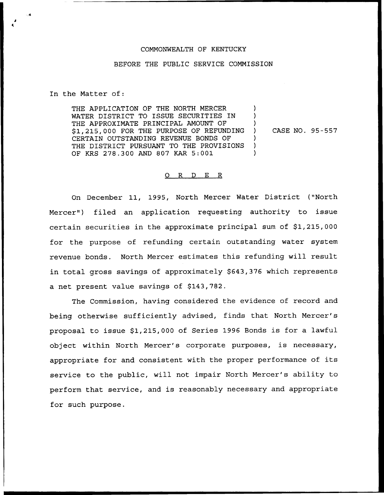## COMMONWEALTH OF KENTUCKY

## BEFORE THE PUBLIC SERVICE COMMISSION

In the Matter of:

THE APPLICATION OF THE NORTH MERCER WATER DISTRICT TO ISSUE SECURITIES IN THE APPROXIMATE PRINCIPAL AMOUNT OF \$ 1,215,000 FOR THE PURPOSE OF REFUNDING CERTAIN OUTSTANDING REVENUE BONDS OF THE DISTRICT PURSUANT TO THE PROVISIONS OF KRS 278.300 AND 807 KAR 5:001

) CASE NO. 95-557

) ) )

) ) )

## 0 R <sup>D</sup> E R

On December 11, 1995, North Mercer Water District ("North Mercer") filed an application requesting authority to issue certain securities in the approximate principal sum of \$1,215,000 for the purpose of refunding certain outstanding water system revenue bonds. North Mercer estimates this refunding will result in total gross savings of approximately \$643,376 which represents a net present value savings of \$143,782.

The Commission, having considered the evidence of record and being otherwise sufficiently advised, finds that North Mercer's proposal to issue \$1,215,000 of Series 1996 Bonds is for <sup>a</sup> lawful object within North Mercer's corporate purposes, is necessary, appropriate for and consistent with the proper performance of its service to the public, will not impair North Mercer's ability to perform that service, and is reasonably necessary and appropriate for such purpose.